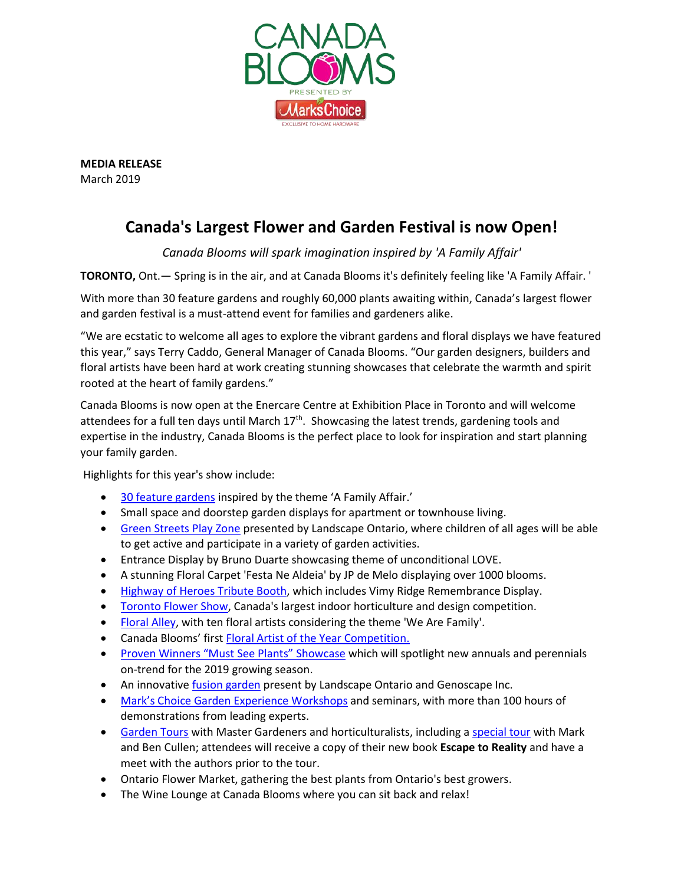

**MEDIA RELEASE** March 2019

## **Canada's Largest Flower and Garden Festival is now Open!**

*Canada Blooms will spark imagination inspired by 'A Family Affair'*

**TORONTO,** Ont.— Spring is in the air, and at Canada Blooms it's definitely feeling like 'A Family Affair. '

With more than 30 feature gardens and roughly 60,000 plants awaiting within, Canada's largest flower and garden festival is a must-attend event for families and gardeners alike.

"We are ecstatic to welcome all ages to explore the vibrant gardens and floral displays we have featured this year," says Terry Caddo, General Manager of Canada Blooms. "Our garden designers, builders and floral artists have been hard at work creating stunning showcases that celebrate the warmth and spirit rooted at the heart of family gardens."

Canada Blooms is now open at the Enercare Centre at Exhibition Place in Toronto and will welcome attendees for a full ten days until March 17<sup>th</sup>. Showcasing the latest trends, gardening tools and expertise in the industry, Canada Blooms is the perfect place to look for inspiration and start planning your family garden.

Highlights for this year's show include:

- 30 [feature gardens](https://canadablooms.com/gardens/) inspired by the theme 'A Family Affair.'
- Small space and doorstep garden displays for apartment or townhouse living.
- [Green Streets Play Zone](https://canadablooms.com/gardens/green-streets-play-zone/) presented by Landscape Ontario, where children of all ages will be able to get active and participate in a variety of garden activities.
- Entrance Display by Bruno Duarte showcasing theme of unconditional LOVE.
- A stunning Floral Carpet 'Festa Ne Aldeia' by JP de Melo displaying over 1000 blooms.
- [Highway of Heroes Tribute Booth,](https://canadablooms.com/gardens/highway-of-heroes-living-tribute/) which includes Vimy Ridge Remembrance Display.
- [Toronto Flower Show,](https://canadablooms.com/rules-registration/) Canada's largest indoor horticulture and design competition.
- [Floral Alley,](https://canadablooms.com/flowers/) with ten floral artists considering the theme 'We Are Family'.
- Canada Blooms' first [Floral Artist of the Year Competition.](https://canadablooms.com/canada-blooms-floral-artist-of-the-year-competition/)
- [Proven Winners "Must See Plants" Showcase](https://canadablooms.com/proven-winners-2019-must-see-plants-at-canada-blooms/) which will spotlight new annuals and perennials on-trend for the 2019 growing season.
- An innovative [fusion garden](https://canadablooms.com/gardens/fusion-garden/) present by Landscape Ontario and Genoscape Inc.
- Mark's Choice Garden [Experience Workshops](https://canadablooms.com/event-type/workshops/) and seminars, with more than 100 hours of demonstrations from leading experts.
- [Garden Tours](https://canadablooms.com/event-type/garden-tours/) with Master Gardeners and horticulturalists, including a [special tour](https://canadablooms.com/event/special-evening-garden-tour-copy-of-escape-to-reality-and-meet-greet-with-the-author/) with Mark and Ben Cullen; attendees will receive a copy of their new book **Escape to Reality** and have a meet with the authors prior to the tour.
- Ontario Flower Market, gathering the best plants from Ontario's best growers.
- The Wine Lounge at Canada Blooms where you can sit back and relax!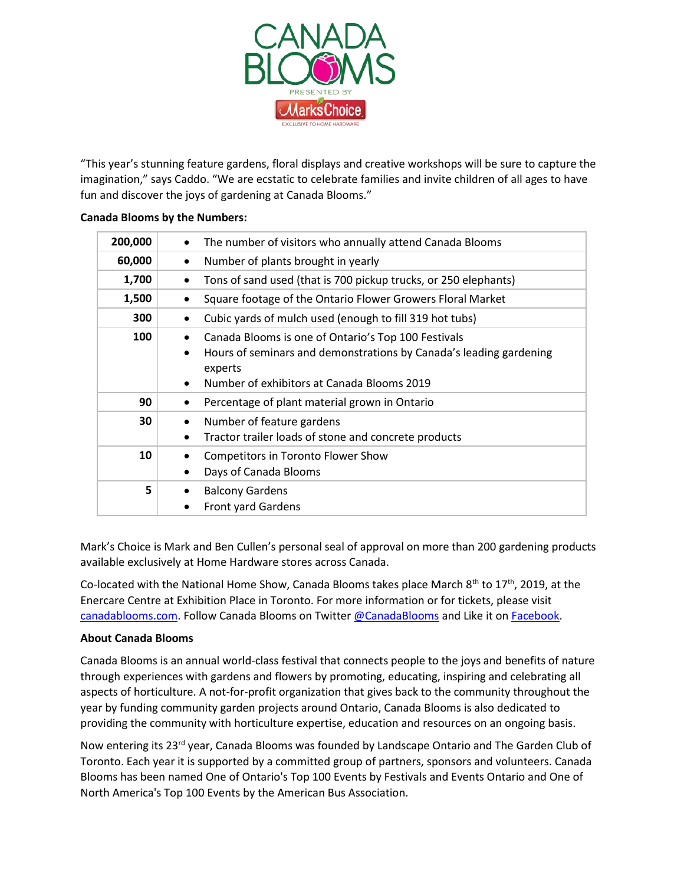

"This year's stunning feature gardens, floral displays and creative workshops will be sure to capture the imagination," says Caddo. "We are ecstatic to celebrate families and invite children of all ages to have fun and discover the joys of gardening at Canada Blooms."

## **Canada Blooms by the Numbers:**

| 200,000 | The number of visitors who annually attend Canada Blooms                                                                                                                                                     |
|---------|--------------------------------------------------------------------------------------------------------------------------------------------------------------------------------------------------------------|
| 60,000  | Number of plants brought in yearly<br>$\bullet$                                                                                                                                                              |
| 1,700   | Tons of sand used (that is 700 pickup trucks, or 250 elephants)<br>$\bullet$                                                                                                                                 |
| 1,500   | Square footage of the Ontario Flower Growers Floral Market<br>$\bullet$                                                                                                                                      |
| 300     | Cubic yards of mulch used (enough to fill 319 hot tubs)<br>$\bullet$                                                                                                                                         |
| 100     | Canada Blooms is one of Ontario's Top 100 Festivals<br>Hours of seminars and demonstrations by Canada's leading gardening<br>$\bullet$<br>experts<br>Number of exhibitors at Canada Blooms 2019<br>$\bullet$ |
| 90      | Percentage of plant material grown in Ontario                                                                                                                                                                |
| 30      | Number of feature gardens<br>$\bullet$<br>Tractor trailer loads of stone and concrete products<br>$\bullet$                                                                                                  |
| 10      | <b>Competitors in Toronto Flower Show</b><br>٠<br>Days of Canada Blooms                                                                                                                                      |
| 5       | <b>Balcony Gardens</b><br><b>Front yard Gardens</b>                                                                                                                                                          |

Mark's Choice is Mark and Ben Cullen's personal seal of approval on more than 200 gardening products available exclusively at Home Hardware stores across Canada.

Co-located with the National Home Show, Canada Blooms takes place March  $8^{th}$  to 17<sup>th</sup>, 2019, at the Enercare Centre at Exhibition Place in Toronto. For more information or for tickets, please visit [canadablooms.com.](http://www.canadablooms.com/) Follow Canada Blooms on Twitte[r @CanadaBlooms](http://www.twitter.com/canadablooms) and Like it o[n Facebook.](http://www.facebook.com/canadablooms)

## **About Canada Blooms**

Canada Blooms is an annual world-class festival that connects people to the joys and benefits of nature through experiences with gardens and flowers by promoting, educating, inspiring and celebrating all aspects of horticulture. A not-for-profit organization that gives back to the community throughout the year by funding community garden projects around Ontario, Canada Blooms is also dedicated to providing the community with horticulture expertise, education and resources on an ongoing basis.

Now entering its 23<sup>rd</sup> year, Canada Blooms was founded by Landscape Ontario and The Garden Club of Toronto. Each year it is supported by a committed group of partners, sponsors and volunteers. Canada Blooms has been named One of Ontario's Top 100 Events by Festivals and Events Ontario and One of North America's Top 100 Events by the American Bus Association.